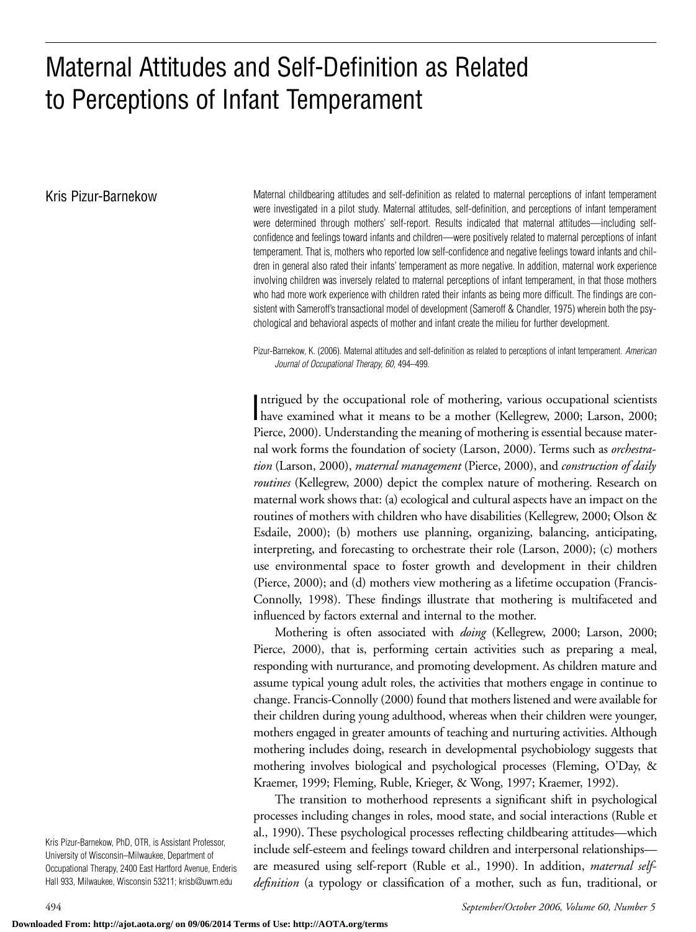# Maternal Attitudes and Self-Definition as Related to Perceptions of Infant Temperament

Kris Pizur-Barnekow **Maternal childbearing attitudes and self-definition as related to maternal perceptions of infant temperament** were investigated in a pilot study. Maternal attitudes, self-definition, and perceptions of infant temperament were determined through mothers' self-report. Results indicated that maternal attitudes—including selfconfidence and feelings toward infants and children—were positively related to maternal perceptions of infant temperament. That is, mothers who reported low self-confidence and negative feelings toward infants and children in general also rated their infants' temperament as more negative. In addition, maternal work experience involving children was inversely related to maternal perceptions of infant temperament, in that those mothers who had more work experience with children rated their infants as being more difficult. The findings are consistent with Sameroff's transactional model of development (Sameroff & Chandler, 1975) wherein both the psychological and behavioral aspects of mother and infant create the milieu for further development.

> Pizur-Barnekow, K. (2006). Maternal attitudes and self-definition as related to perceptions of infant temperament. *American Journal of Occupational Therapy, 60,* 494–499.

> Intrigued by the occupational role of mothering, various occupational scientists<br>have examined what it means to be a mother (Kellegrew, 2000; Larson, 2000; ntrigued by the occupational role of mothering, various occupational scientists Pierce, 2000). Understanding the meaning of mothering is essential because maternal work forms the foundation of society (Larson, 2000). Terms such as *orchestration* (Larson, 2000), *maternal management* (Pierce, 2000), and *construction of daily routines* (Kellegrew, 2000) depict the complex nature of mothering. Research on maternal work shows that: (a) ecological and cultural aspects have an impact on the routines of mothers with children who have disabilities (Kellegrew, 2000; Olson & Esdaile, 2000); (b) mothers use planning, organizing, balancing, anticipating, interpreting, and forecasting to orchestrate their role (Larson, 2000); (c) mothers use environmental space to foster growth and development in their children (Pierce, 2000); and (d) mothers view mothering as a lifetime occupation (Francis-Connolly, 1998). These findings illustrate that mothering is multifaceted and influenced by factors external and internal to the mother.

> Mothering is often associated with *doing* (Kellegrew, 2000; Larson, 2000; Pierce, 2000), that is, performing certain activities such as preparing a meal, responding with nurturance, and promoting development. As children mature and assume typical young adult roles, the activities that mothers engage in continue to change. Francis-Connolly (2000) found that mothers listened and were available for their children during young adulthood, whereas when their children were younger, mothers engaged in greater amounts of teaching and nurturing activities. Although mothering includes doing, research in developmental psychobiology suggests that mothering involves biological and psychological processes (Fleming, O'Day, & Kraemer, 1999; Fleming, Ruble, Krieger, & Wong, 1997; Kraemer, 1992).

> The transition to motherhood represents a significant shift in psychological processes including changes in roles, mood state, and social interactions (Ruble et al., 1990). These psychological processes reflecting childbearing attitudes—which include self-esteem and feelings toward children and interpersonal relationships are measured using self-report (Ruble et al., 1990). In addition, *maternal selfdefinition* (a typology or classification of a mother, such as fun, traditional, or

Kris Pizur-Barnekow, PhD, OTR, is Assistant Professor, University of Wisconsin–Milwaukee, Department of Occupational Therapy, 2400 East Hartford Avenue, Enderis Hall 933, Milwaukee, Wisconsin 53211; krisb@uwm.edu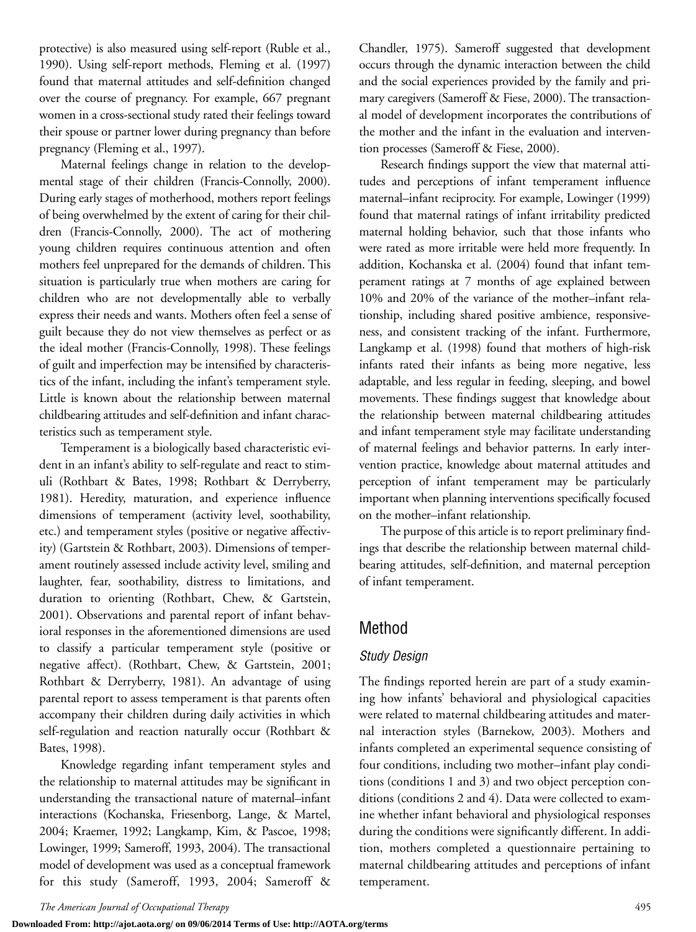protective) is also measured using self-report (Ruble et al., 1990). Using self-report methods, Fleming et al. (1997) found that maternal attitudes and self-definition changed over the course of pregnancy. For example, 667 pregnant women in a cross-sectional study rated their feelings toward their spouse or partner lower during pregnancy than before pregnancy (Fleming et al., 1997).

Maternal feelings change in relation to the developmental stage of their children (Francis-Connolly, 2000). During early stages of motherhood, mothers report feelings of being overwhelmed by the extent of caring for their children (Francis-Connolly, 2000). The act of mothering young children requires continuous attention and often mothers feel unprepared for the demands of children. This situation is particularly true when mothers are caring for children who are not developmentally able to verbally express their needs and wants. Mothers often feel a sense of guilt because they do not view themselves as perfect or as the ideal mother (Francis-Connolly, 1998). These feelings of guilt and imperfection may be intensified by characteristics of the infant, including the infant's temperament style. Little is known about the relationship between maternal childbearing attitudes and self-definition and infant characteristics such as temperament style.

Temperament is a biologically based characteristic evident in an infant's ability to self-regulate and react to stimuli (Rothbart & Bates, 1998; Rothbart & Derryberry, 1981). Heredity, maturation, and experience influence dimensions of temperament (activity level, soothability, etc.) and temperament styles (positive or negative affectivity) (Gartstein & Rothbart, 2003). Dimensions of temperament routinely assessed include activity level, smiling and laughter, fear, soothability, distress to limitations, and duration to orienting (Rothbart, Chew, & Gartstein, 2001). Observations and parental report of infant behavioral responses in the aforementioned dimensions are used to classify a particular temperament style (positive or negative affect). (Rothbart, Chew, & Gartstein, 2001; Rothbart & Derryberry, 1981). An advantage of using parental report to assess temperament is that parents often accompany their children during daily activities in which self-regulation and reaction naturally occur (Rothbart & Bates, 1998).

Knowledge regarding infant temperament styles and the relationship to maternal attitudes may be significant in understanding the transactional nature of maternal–infant interactions (Kochanska, Friesenborg, Lange, & Martel, 2004; Kraemer, 1992; Langkamp, Kim, & Pascoe, 1998; Lowinger, 1999; Sameroff, 1993, 2004). The transactional model of development was used as a conceptual framework for this study (Sameroff, 1993, 2004; Sameroff & Chandler, 1975). Sameroff suggested that development occurs through the dynamic interaction between the child and the social experiences provided by the family and primary caregivers (Sameroff & Fiese, 2000). The transactional model of development incorporates the contributions of the mother and the infant in the evaluation and intervention processes (Sameroff & Fiese, 2000).

Research findings support the view that maternal attitudes and perceptions of infant temperament influence maternal–infant reciprocity. For example, Lowinger (1999) found that maternal ratings of infant irritability predicted maternal holding behavior, such that those infants who were rated as more irritable were held more frequently. In addition, Kochanska et al. (2004) found that infant temperament ratings at 7 months of age explained between 10% and 20% of the variance of the mother–infant relationship, including shared positive ambience, responsiveness, and consistent tracking of the infant. Furthermore, Langkamp et al. (1998) found that mothers of high-risk infants rated their infants as being more negative, less adaptable, and less regular in feeding, sleeping, and bowel movements. These findings suggest that knowledge about the relationship between maternal childbearing attitudes and infant temperament style may facilitate understanding of maternal feelings and behavior patterns. In early intervention practice, knowledge about maternal attitudes and perception of infant temperament may be particularly important when planning interventions specifically focused on the mother–infant relationship.

The purpose of this article is to report preliminary findings that describe the relationship between maternal childbearing attitudes, self-definition, and maternal perception of infant temperament.

# Method

## *Study Design*

The findings reported herein are part of a study examining how infants' behavioral and physiological capacities were related to maternal childbearing attitudes and maternal interaction styles (Barnekow, 2003). Mothers and infants completed an experimental sequence consisting of four conditions, including two mother–infant play conditions (conditions 1 and 3) and two object perception conditions (conditions 2 and 4). Data were collected to examine whether infant behavioral and physiological responses during the conditions were significantly different. In addition, mothers completed a questionnaire pertaining to maternal childbearing attitudes and perceptions of infant temperament.

**Downloaded From: http://ajot.aota.org/ on 09/06/2014 Terms of Use: http://AOTA.org/terms**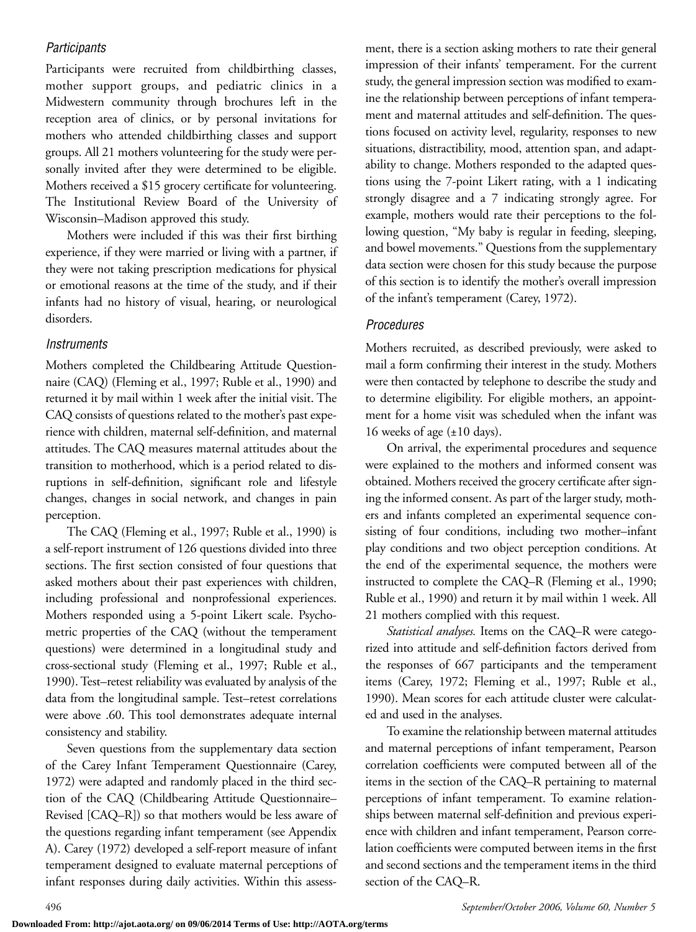#### *Participants*

Participants were recruited from childbirthing classes, mother support groups, and pediatric clinics in a Midwestern community through brochures left in the reception area of clinics, or by personal invitations for mothers who attended childbirthing classes and support groups. All 21 mothers volunteering for the study were personally invited after they were determined to be eligible. Mothers received a \$15 grocery certificate for volunteering. The Institutional Review Board of the University of Wisconsin–Madison approved this study.

Mothers were included if this was their first birthing experience, if they were married or living with a partner, if they were not taking prescription medications for physical or emotional reasons at the time of the study, and if their infants had no history of visual, hearing, or neurological disorders.

#### *Instruments*

Mothers completed the Childbearing Attitude Questionnaire (CAQ) (Fleming et al., 1997; Ruble et al., 1990) and returned it by mail within 1 week after the initial visit. The CAQ consists of questions related to the mother's past experience with children, maternal self-definition, and maternal attitudes. The CAQ measures maternal attitudes about the transition to motherhood, which is a period related to disruptions in self-definition, significant role and lifestyle changes, changes in social network, and changes in pain perception.

The CAQ (Fleming et al., 1997; Ruble et al., 1990) is a self-report instrument of 126 questions divided into three sections. The first section consisted of four questions that asked mothers about their past experiences with children, including professional and nonprofessional experiences. Mothers responded using a 5-point Likert scale. Psychometric properties of the CAQ (without the temperament questions) were determined in a longitudinal study and cross-sectional study (Fleming et al., 1997; Ruble et al., 1990). Test–retest reliability was evaluated by analysis of the data from the longitudinal sample. Test–retest correlations were above .60. This tool demonstrates adequate internal consistency and stability.

Seven questions from the supplementary data section of the Carey Infant Temperament Questionnaire (Carey, 1972) were adapted and randomly placed in the third section of the CAQ (Childbearing Attitude Questionnaire– Revised [CAQ–R]) so that mothers would be less aware of the questions regarding infant temperament (see Appendix A). Carey (1972) developed a self-report measure of infant temperament designed to evaluate maternal perceptions of infant responses during daily activities. Within this assessment, there is a section asking mothers to rate their general impression of their infants' temperament. For the current study, the general impression section was modified to examine the relationship between perceptions of infant temperament and maternal attitudes and self-definition. The questions focused on activity level, regularity, responses to new situations, distractibility, mood, attention span, and adaptability to change. Mothers responded to the adapted questions using the 7-point Likert rating, with a 1 indicating strongly disagree and a 7 indicating strongly agree. For example, mothers would rate their perceptions to the following question, "My baby is regular in feeding, sleeping, and bowel movements." Questions from the supplementary data section were chosen for this study because the purpose of this section is to identify the mother's overall impression of the infant's temperament (Carey, 1972).

### *Procedures*

Mothers recruited, as described previously, were asked to mail a form confirming their interest in the study. Mothers were then contacted by telephone to describe the study and to determine eligibility. For eligible mothers, an appointment for a home visit was scheduled when the infant was 16 weeks of age  $(\pm 10 \text{ days})$ .

On arrival, the experimental procedures and sequence were explained to the mothers and informed consent was obtained. Mothers received the grocery certificate after signing the informed consent. As part of the larger study, mothers and infants completed an experimental sequence consisting of four conditions, including two mother–infant play conditions and two object perception conditions. At the end of the experimental sequence, the mothers were instructed to complete the CAQ–R (Fleming et al., 1990; Ruble et al., 1990) and return it by mail within 1 week. All 21 mothers complied with this request.

*Statistical analyses.* Items on the CAQ–R were categorized into attitude and self-definition factors derived from the responses of 667 participants and the temperament items (Carey, 1972; Fleming et al., 1997; Ruble et al., 1990). Mean scores for each attitude cluster were calculated and used in the analyses.

To examine the relationship between maternal attitudes and maternal perceptions of infant temperament, Pearson correlation coefficients were computed between all of the items in the section of the CAQ–R pertaining to maternal perceptions of infant temperament. To examine relationships between maternal self-definition and previous experience with children and infant temperament, Pearson correlation coefficients were computed between items in the first and second sections and the temperament items in the third section of the CAQ–R.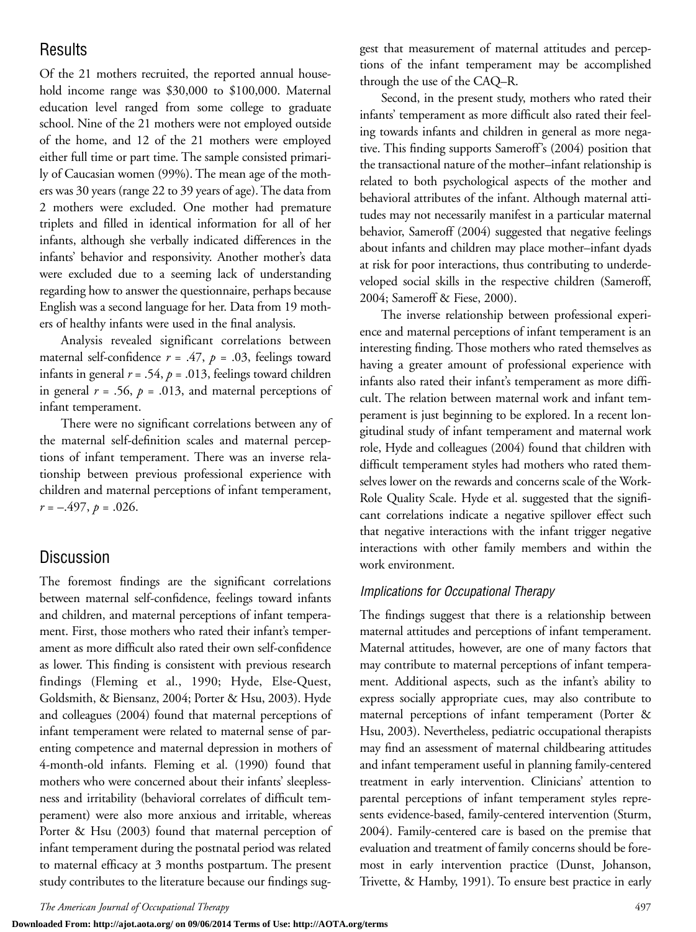## **Results**

Of the 21 mothers recruited, the reported annual household income range was \$30,000 to \$100,000. Maternal education level ranged from some college to graduate school. Nine of the 21 mothers were not employed outside of the home, and 12 of the 21 mothers were employed either full time or part time. The sample consisted primarily of Caucasian women (99%). The mean age of the mothers was 30 years (range 22 to 39 years of age). The data from 2 mothers were excluded. One mother had premature triplets and filled in identical information for all of her infants, although she verbally indicated differences in the infants' behavior and responsivity. Another mother's data were excluded due to a seeming lack of understanding regarding how to answer the questionnaire, perhaps because English was a second language for her. Data from 19 mothers of healthy infants were used in the final analysis.

Analysis revealed significant correlations between maternal self-confidence  $r = .47$ ,  $p = .03$ , feelings toward infants in general  $r = .54$ ,  $p = .013$ , feelings toward children in general  $r = .56$ ,  $p = .013$ , and maternal perceptions of infant temperament.

There were no significant correlations between any of the maternal self-definition scales and maternal perceptions of infant temperament. There was an inverse relationship between previous professional experience with children and maternal perceptions of infant temperament, *r* = –.497, *p* = .026.

## **Discussion**

The foremost findings are the significant correlations between maternal self-confidence, feelings toward infants and children, and maternal perceptions of infant temperament. First, those mothers who rated their infant's temperament as more difficult also rated their own self-confidence as lower. This finding is consistent with previous research findings (Fleming et al., 1990; Hyde, Else-Quest, Goldsmith, & Biensanz, 2004; Porter & Hsu, 2003). Hyde and colleagues (2004) found that maternal perceptions of infant temperament were related to maternal sense of parenting competence and maternal depression in mothers of 4-month-old infants. Fleming et al. (1990) found that mothers who were concerned about their infants' sleeplessness and irritability (behavioral correlates of difficult temperament) were also more anxious and irritable, whereas Porter & Hsu (2003) found that maternal perception of infant temperament during the postnatal period was related to maternal efficacy at 3 months postpartum. The present study contributes to the literature because our findings suggest that measurement of maternal attitudes and perceptions of the infant temperament may be accomplished through the use of the CAQ–R.

Second, in the present study, mothers who rated their infants' temperament as more difficult also rated their feeling towards infants and children in general as more negative. This finding supports Sameroff's (2004) position that the transactional nature of the mother–infant relationship is related to both psychological aspects of the mother and behavioral attributes of the infant. Although maternal attitudes may not necessarily manifest in a particular maternal behavior, Sameroff (2004) suggested that negative feelings about infants and children may place mother–infant dyads at risk for poor interactions, thus contributing to underdeveloped social skills in the respective children (Sameroff, 2004; Sameroff & Fiese, 2000).

The inverse relationship between professional experience and maternal perceptions of infant temperament is an interesting finding. Those mothers who rated themselves as having a greater amount of professional experience with infants also rated their infant's temperament as more difficult. The relation between maternal work and infant temperament is just beginning to be explored. In a recent longitudinal study of infant temperament and maternal work role, Hyde and colleagues (2004) found that children with difficult temperament styles had mothers who rated themselves lower on the rewards and concerns scale of the Work-Role Quality Scale. Hyde et al. suggested that the significant correlations indicate a negative spillover effect such that negative interactions with the infant trigger negative interactions with other family members and within the work environment.

#### *Implications for Occupational Therapy*

The findings suggest that there is a relationship between maternal attitudes and perceptions of infant temperament. Maternal attitudes, however, are one of many factors that may contribute to maternal perceptions of infant temperament. Additional aspects, such as the infant's ability to express socially appropriate cues, may also contribute to maternal perceptions of infant temperament (Porter & Hsu, 2003). Nevertheless, pediatric occupational therapists may find an assessment of maternal childbearing attitudes and infant temperament useful in planning family-centered treatment in early intervention. Clinicians' attention to parental perceptions of infant temperament styles represents evidence-based, family-centered intervention (Sturm, 2004). Family-centered care is based on the premise that evaluation and treatment of family concerns should be foremost in early intervention practice (Dunst, Johanson, Trivette, & Hamby, 1991). To ensure best practice in early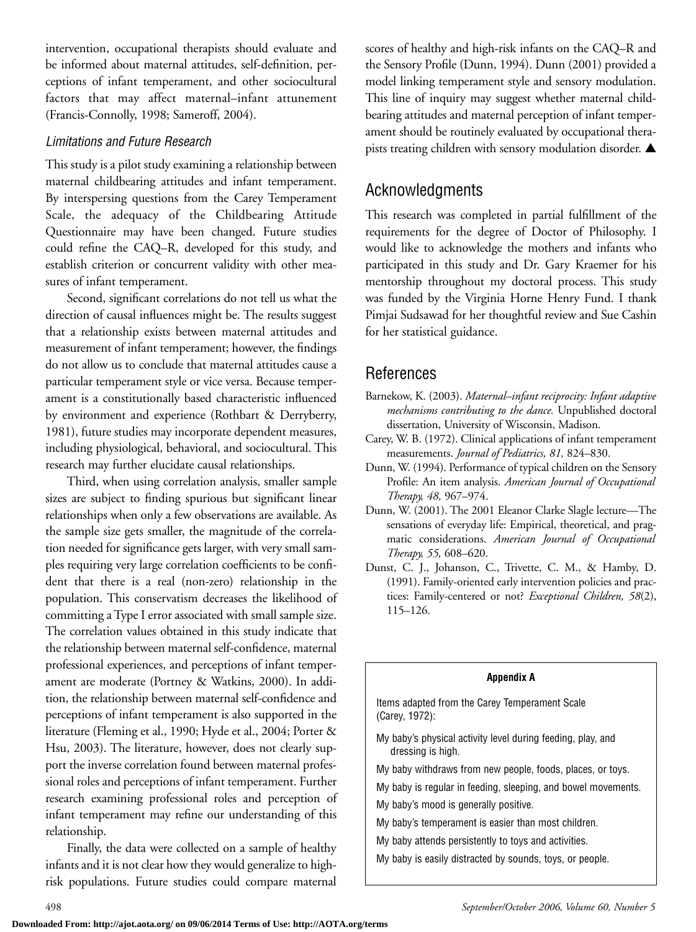intervention, occupational therapists should evaluate and be informed about maternal attitudes, self-definition, perceptions of infant temperament, and other sociocultural factors that may affect maternal–infant attunement (Francis-Connolly, 1998; Sameroff, 2004).

#### *Limitations and Future Research*

This study is a pilot study examining a relationship between maternal childbearing attitudes and infant temperament. By interspersing questions from the Carey Temperament Scale, the adequacy of the Childbearing Attitude Questionnaire may have been changed. Future studies could refine the CAQ–R, developed for this study, and establish criterion or concurrent validity with other measures of infant temperament.

Second, significant correlations do not tell us what the direction of causal influences might be. The results suggest that a relationship exists between maternal attitudes and measurement of infant temperament; however, the findings do not allow us to conclude that maternal attitudes cause a particular temperament style or vice versa. Because temperament is a constitutionally based characteristic influenced by environment and experience (Rothbart & Derryberry, 1981), future studies may incorporate dependent measures, including physiological, behavioral, and sociocultural. This research may further elucidate causal relationships.

Third, when using correlation analysis, smaller sample sizes are subject to finding spurious but significant linear relationships when only a few observations are available. As the sample size gets smaller, the magnitude of the correlation needed for significance gets larger, with very small samples requiring very large correlation coefficients to be confident that there is a real (non-zero) relationship in the population. This conservatism decreases the likelihood of committing a Type I error associated with small sample size. The correlation values obtained in this study indicate that the relationship between maternal self-confidence, maternal professional experiences, and perceptions of infant temperament are moderate (Portney & Watkins, 2000). In addition, the relationship between maternal self-confidence and perceptions of infant temperament is also supported in the literature (Fleming et al., 1990; Hyde et al., 2004; Porter & Hsu, 2003). The literature, however, does not clearly support the inverse correlation found between maternal professional roles and perceptions of infant temperament. Further research examining professional roles and perception of infant temperament may refine our understanding of this relationship.

Finally, the data were collected on a sample of healthy infants and it is not clear how they would generalize to highrisk populations. Future studies could compare maternal

scores of healthy and high-risk infants on the CAQ–R and the Sensory Profile (Dunn, 1994). Dunn (2001) provided a model linking temperament style and sensory modulation. This line of inquiry may suggest whether maternal childbearing attitudes and maternal perception of infant temperament should be routinely evaluated by occupational therapists treating children with sensory modulation disorder. **▲**

## Acknowledgments

This research was completed in partial fulfillment of the requirements for the degree of Doctor of Philosophy. I would like to acknowledge the mothers and infants who participated in this study and Dr. Gary Kraemer for his mentorship throughout my doctoral process. This study was funded by the Virginia Horne Henry Fund. I thank Pimjai Sudsawad for her thoughtful review and Sue Cashin for her statistical guidance.

# References

- Barnekow, K. (2003). *Maternal–infant reciprocity: Infant adaptive mechanisms contributing to the dance.* Unpublished doctoral dissertation, University of Wisconsin, Madison.
- Carey, W. B. (1972). Clinical applications of infant temperament measurements. *Journal of Pediatrics, 81,* 824–830.
- Dunn, W. (1994). Performance of typical children on the Sensory Profile: An item analysis. *American Journal of Occupational Therapy, 48,* 967–974.
- Dunn, W. (2001). The 2001 Eleanor Clarke Slagle lecture—The sensations of everyday life: Empirical, theoretical, and pragmatic considerations. *American Journal of Occupational Therapy, 55,* 608–620.
- Dunst, C. J., Johanson, C., Trivette, C. M., & Hamby, D. (1991). Family-oriented early intervention policies and practices: Family-centered or not? *Exceptional Children, 58*(2), 115–126.

#### **Appendix A**

Items adapted from the Carey Temperament Scale (Carey, 1972):

- My baby's physical activity level during feeding, play, and dressing is high.
- My baby withdraws from new people, foods, places, or toys.
- My baby is regular in feeding, sleeping, and bowel movements.
- My baby's mood is generally positive.
- My baby's temperament is easier than most children.
- My baby attends persistently to toys and activities.
- My baby is easily distracted by sounds, toys, or people.